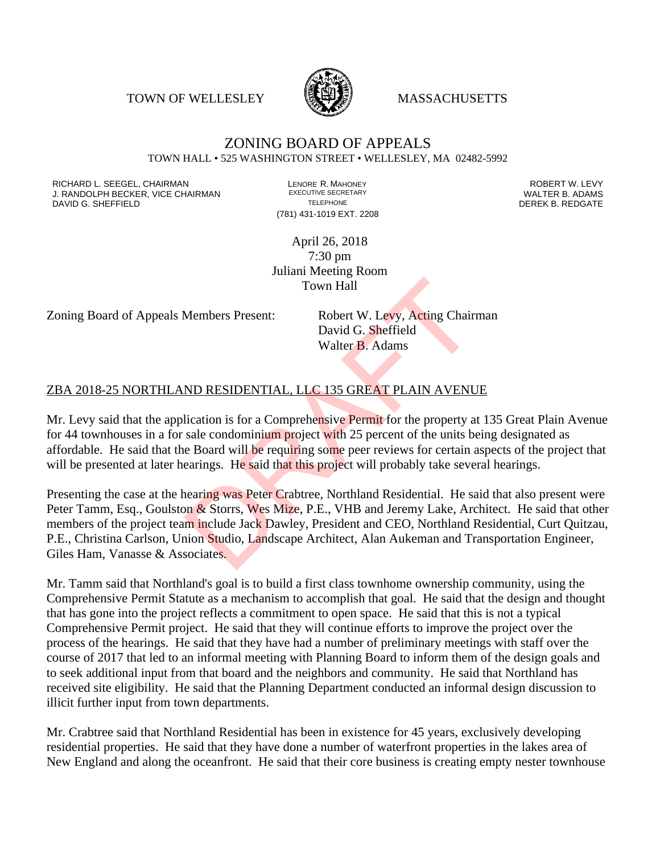TOWN OF WELLESLEY WASSACHUSETTS



## ZONING BOARD OF APPEALS TOWN HALL • 525 WASHINGTON STREET • WELLESLEY, MA 02482-5992

RICHARD L. SEEGEL, CHAIRMAN LENORE R. MAHONEY LENORE R. MAHONEY LEVY ROBERT W. LEVY LEVY LEVY LEVY LEVY LEVY LE<br>
J. RANDOLPH BECKER, VICE CHAIRMAN LEXECUTIVE SECRETARY LETTER B. ADAMS J. RANDOLPH BECKER, VICE CHAIRMAN EXECUTIVE SECRETARY THE SANDOLPH BECKER B. ADAMS<br>DEREK B. REDGATE TELEPHONE TELEPHONE TELEPHONE TELEPHONE DAVID G. SHEFFIELD

(781) 431-1019 EXT. 2208

April 26, 2018 7:30 pm Juliani Meeting Room Town Hall

Zoning Board of Appeals Members Present: Robert W. Levy, Acting Chairman

David G. Sheffield Walter B. Adams

## ZBA 2018-25 NORTHLAND RESIDENTIAL, LLC 135 GREAT PLAIN AVENUE

Mr. Levy said that the application is for a Comprehensive Permit for the property at 135 Great Plain Avenue for 44 townhouses in a for sale condominium project with 25 percent of the units being designated as affordable. He said that the Board will be requiring some peer reviews for certain aspects of the project that will be presented at later hearings. He said that this project will probably take several hearings.

Presenting the case at the hearing was Peter Crabtree, Northland Residential. He said that also present were Peter Tamm, Esq., Goulston & Storrs, Wes Mize, P.E., VHB and Jeremy Lake, Architect. He said that other members of the project team include Jack Dawley, President and CEO, Northland Residential, Curt Quitzau, P.E., Christina Carlson, Union Studio, Landscape Architect, Alan Aukeman and Transportation Engineer, Giles Ham, Vanasse & Associates. Town Hall<br>Members Present: Robert W. Levy, Acting Chair<br>David G. Sheffield<br>Walter B. Adams<br>ND RESIDENTIAL, LLC 135 GREAT PLAIN AVENU<br>lication is for a Comprehensive Permit for the property a<br>sale condominium project with 2

Mr. Tamm said that Northland's goal is to build a first class townhome ownership community, using the Comprehensive Permit Statute as a mechanism to accomplish that goal. He said that the design and thought that has gone into the project reflects a commitment to open space. He said that this is not a typical Comprehensive Permit project. He said that they will continue efforts to improve the project over the process of the hearings. He said that they have had a number of preliminary meetings with staff over the course of 2017 that led to an informal meeting with Planning Board to inform them of the design goals and to seek additional input from that board and the neighbors and community. He said that Northland has received site eligibility. He said that the Planning Department conducted an informal design discussion to illicit further input from town departments.

Mr. Crabtree said that Northland Residential has been in existence for 45 years, exclusively developing residential properties. He said that they have done a number of waterfront properties in the lakes area of New England and along the oceanfront. He said that their core business is creating empty nester townhouse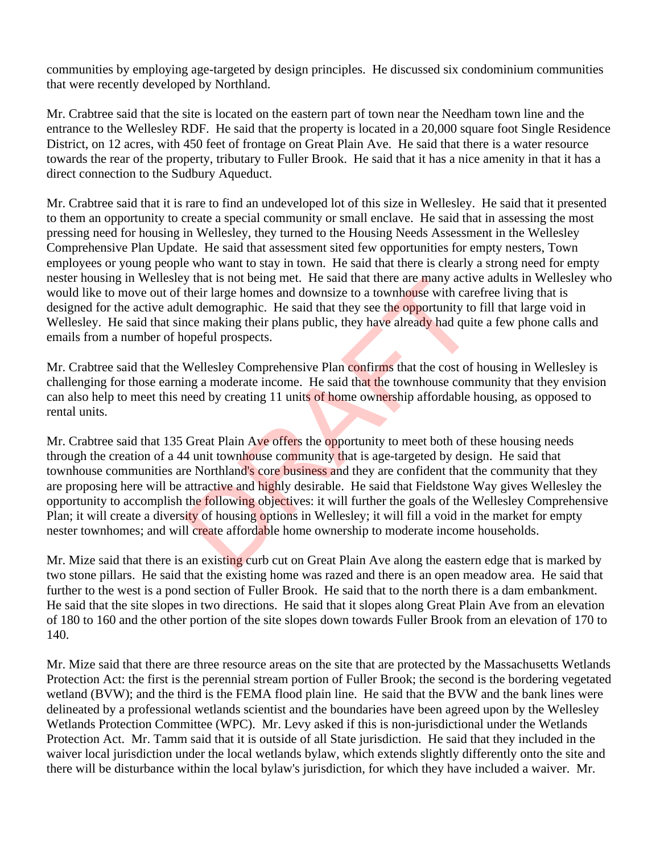communities by employing age-targeted by design principles. He discussed six condominium communities that were recently developed by Northland.

Mr. Crabtree said that the site is located on the eastern part of town near the Needham town line and the entrance to the Wellesley RDF. He said that the property is located in a 20,000 square foot Single Residence District, on 12 acres, with 450 feet of frontage on Great Plain Ave. He said that there is a water resource towards the rear of the property, tributary to Fuller Brook. He said that it has a nice amenity in that it has a direct connection to the Sudbury Aqueduct.

Mr. Crabtree said that it is rare to find an undeveloped lot of this size in Wellesley. He said that it presented to them an opportunity to create a special community or small enclave. He said that in assessing the most pressing need for housing in Wellesley, they turned to the Housing Needs Assessment in the Wellesley Comprehensive Plan Update. He said that assessment sited few opportunities for empty nesters, Town employees or young people who want to stay in town. He said that there is clearly a strong need for empty nester housing in Wellesley that is not being met. He said that there are many active adults in Wellesley who would like to move out of their large homes and downsize to a townhouse with carefree living that is designed for the active adult demographic. He said that they see the opportunity to fill that large void in Wellesley. He said that since making their plans public, they have already had quite a few phone calls and emails from a number of hopeful prospects.

Mr. Crabtree said that the Wellesley Comprehensive Plan confirms that the cost of housing in Wellesley is challenging for those earning a moderate income. He said that the townhouse community that they envision can also help to meet this need by creating 11 units of home ownership affordable housing, as opposed to rental units.

Mr. Crabtree said that 135 Great Plain Ave offers the opportunity to meet both of these housing needs through the creation of a 44 unit townhouse community that is age-targeted by design. He said that townhouse communities are Northland's core business and they are confident that the community that they are proposing here will be attractive and highly desirable. He said that Fieldstone Way gives Wellesley the opportunity to accomplish the following objectives: it will further the goals of the Wellesley Comprehensive Plan; it will create a diversity of housing options in Wellesley; it will fill a void in the market for empty nester townhomes; and will create affordable home ownership to moderate income households. y that is not being met. He said that there are many active<br>their large homes and downsize to a townhouse with care<br>the demographic. He said that they see the opportunity to<br>noce making their plans public, they have alread

Mr. Mize said that there is an existing curb cut on Great Plain Ave along the eastern edge that is marked by two stone pillars. He said that the existing home was razed and there is an open meadow area. He said that further to the west is a pond section of Fuller Brook. He said that to the north there is a dam embankment. He said that the site slopes in two directions. He said that it slopes along Great Plain Ave from an elevation of 180 to 160 and the other portion of the site slopes down towards Fuller Brook from an elevation of 170 to 140.

Mr. Mize said that there are three resource areas on the site that are protected by the Massachusetts Wetlands Protection Act: the first is the perennial stream portion of Fuller Brook; the second is the bordering vegetated wetland (BVW); and the third is the FEMA flood plain line. He said that the BVW and the bank lines were delineated by a professional wetlands scientist and the boundaries have been agreed upon by the Wellesley Wetlands Protection Committee (WPC). Mr. Levy asked if this is non-jurisdictional under the Wetlands Protection Act. Mr. Tamm said that it is outside of all State jurisdiction. He said that they included in the waiver local jurisdiction under the local wetlands bylaw, which extends slightly differently onto the site and there will be disturbance within the local bylaw's jurisdiction, for which they have included a waiver. Mr.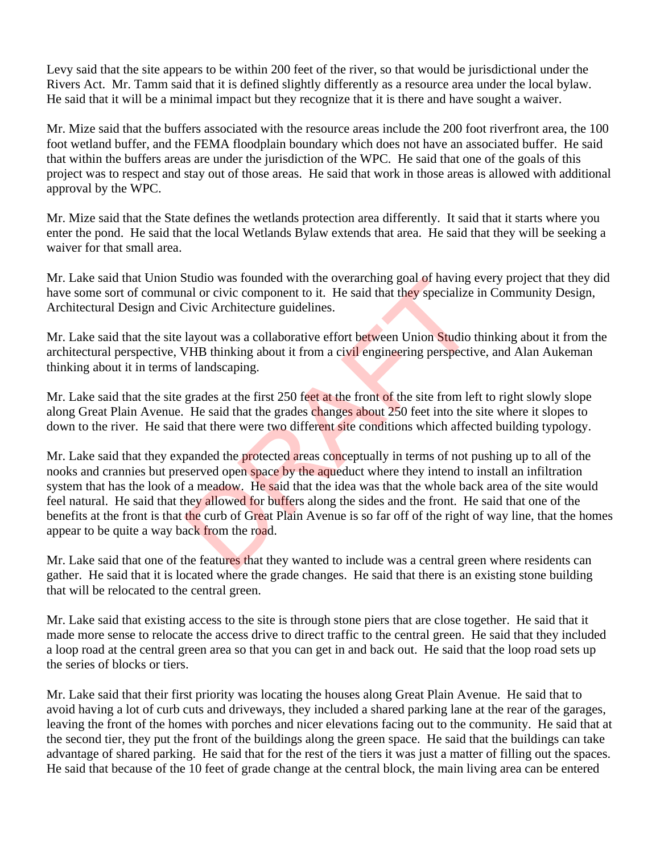Levy said that the site appears to be within 200 feet of the river, so that would be jurisdictional under the Rivers Act. Mr. Tamm said that it is defined slightly differently as a resource area under the local bylaw. He said that it will be a minimal impact but they recognize that it is there and have sought a waiver.

Mr. Mize said that the buffers associated with the resource areas include the 200 foot riverfront area, the 100 foot wetland buffer, and the FEMA floodplain boundary which does not have an associated buffer. He said that within the buffers areas are under the jurisdiction of the WPC. He said that one of the goals of this project was to respect and stay out of those areas. He said that work in those areas is allowed with additional approval by the WPC.

Mr. Mize said that the State defines the wetlands protection area differently. It said that it starts where you enter the pond. He said that the local Wetlands Bylaw extends that area. He said that they will be seeking a waiver for that small area.

Mr. Lake said that Union Studio was founded with the overarching goal of having every project that they did have some sort of communal or civic component to it. He said that they specialize in Community Design, Architectural Design and Civic Architecture guidelines.

Mr. Lake said that the site layout was a collaborative effort between Union Studio thinking about it from the architectural perspective, VHB thinking about it from a civil engineering perspective, and Alan Aukeman thinking about it in terms of landscaping.

Mr. Lake said that the site grades at the first 250 feet at the front of the site from left to right slowly slope along Great Plain Avenue. He said that the grades changes about 250 feet into the site where it slopes to down to the river. He said that there were two different site conditions which affected building typology.

Mr. Lake said that they expanded the protected areas conceptually in terms of not pushing up to all of the nooks and crannies but preserved open space by the aqueduct where they intend to install an infiltration system that has the look of a meadow. He said that the idea was that the whole back area of the site would feel natural. He said that they allowed for buffers along the sides and the front. He said that one of the benefits at the front is that the curb of Great Plain Avenue is so far off of the right of way line, that the homes appear to be quite a way back from the road. Studio was founded with the overarching goal of naving example and or civic component to it. He said that they specialize Civic Architecture guidelines.<br>
layout was a collaborative effort between Union Studio to VHB thinki

Mr. Lake said that one of the features that they wanted to include was a central green where residents can gather. He said that it is located where the grade changes. He said that there is an existing stone building that will be relocated to the central green.

Mr. Lake said that existing access to the site is through stone piers that are close together. He said that it made more sense to relocate the access drive to direct traffic to the central green. He said that they included a loop road at the central green area so that you can get in and back out. He said that the loop road sets up the series of blocks or tiers.

Mr. Lake said that their first priority was locating the houses along Great Plain Avenue. He said that to avoid having a lot of curb cuts and driveways, they included a shared parking lane at the rear of the garages, leaving the front of the homes with porches and nicer elevations facing out to the community. He said that at the second tier, they put the front of the buildings along the green space. He said that the buildings can take advantage of shared parking. He said that for the rest of the tiers it was just a matter of filling out the spaces. He said that because of the 10 feet of grade change at the central block, the main living area can be entered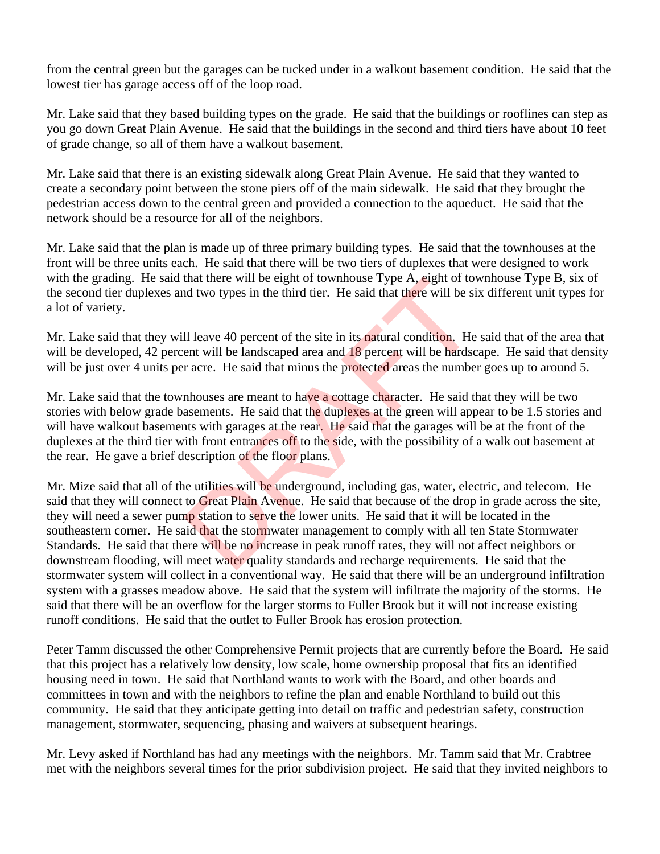from the central green but the garages can be tucked under in a walkout basement condition. He said that the lowest tier has garage access off of the loop road.

Mr. Lake said that they based building types on the grade. He said that the buildings or rooflines can step as you go down Great Plain Avenue. He said that the buildings in the second and third tiers have about 10 feet of grade change, so all of them have a walkout basement.

Mr. Lake said that there is an existing sidewalk along Great Plain Avenue. He said that they wanted to create a secondary point between the stone piers off of the main sidewalk. He said that they brought the pedestrian access down to the central green and provided a connection to the aqueduct. He said that the network should be a resource for all of the neighbors.

Mr. Lake said that the plan is made up of three primary building types. He said that the townhouses at the front will be three units each. He said that there will be two tiers of duplexes that were designed to work with the grading. He said that there will be eight of townhouse Type A, eight of townhouse Type B, six of the second tier duplexes and two types in the third tier. He said that there will be six different unit types for a lot of variety.

Mr. Lake said that they will leave 40 percent of the site in its natural condition. He said that of the area that will be developed, 42 percent will be landscaped area and  $18$  percent will be hardscape. He said that density will be just over 4 units per acre. He said that minus the protected areas the number goes up to around 5.

Mr. Lake said that the townhouses are meant to have a cottage character. He said that they will be two stories with below grade basements. He said that the duplexes at the green will appear to be 1.5 stories and will have walkout basements with garages at the rear. He said that the garages will be at the front of the duplexes at the third tier with front entrances off to the side, with the possibility of a walk out basement at the rear. He gave a brief description of the floor plans.

Mr. Mize said that all of the utilities will be underground, including gas, water, electric, and telecom. He said that they will connect to Great Plain Avenue. He said that because of the drop in grade across the site, they will need a sewer pump station to serve the lower units. He said that it will be located in the southeastern corner. He said that the stormwater management to comply with all ten State Stormwater Standards. He said that there will be no increase in peak runoff rates, they will not affect neighbors or downstream flooding, will meet water quality standards and recharge requirements. He said that the stormwater system will collect in a conventional way. He said that there will be an underground infiltration system with a grasses meadow above. He said that the system will infiltrate the majority of the storms. He said that there will be an overflow for the larger storms to Fuller Brook but it will not increase existing runoff conditions. He said that the outlet to Fuller Brook has erosion protection. that there will be eight of townhouse 1ype A, eight of town<br>d two types in the third tier. He said that there will be si<br>ll leave 40 percent of the site in its **natural condition**. He<br>ent will be landscaped area and 18 per

Peter Tamm discussed the other Comprehensive Permit projects that are currently before the Board. He said that this project has a relatively low density, low scale, home ownership proposal that fits an identified housing need in town. He said that Northland wants to work with the Board, and other boards and committees in town and with the neighbors to refine the plan and enable Northland to build out this community. He said that they anticipate getting into detail on traffic and pedestrian safety, construction management, stormwater, sequencing, phasing and waivers at subsequent hearings.

Mr. Levy asked if Northland has had any meetings with the neighbors. Mr. Tamm said that Mr. Crabtree met with the neighbors several times for the prior subdivision project. He said that they invited neighbors to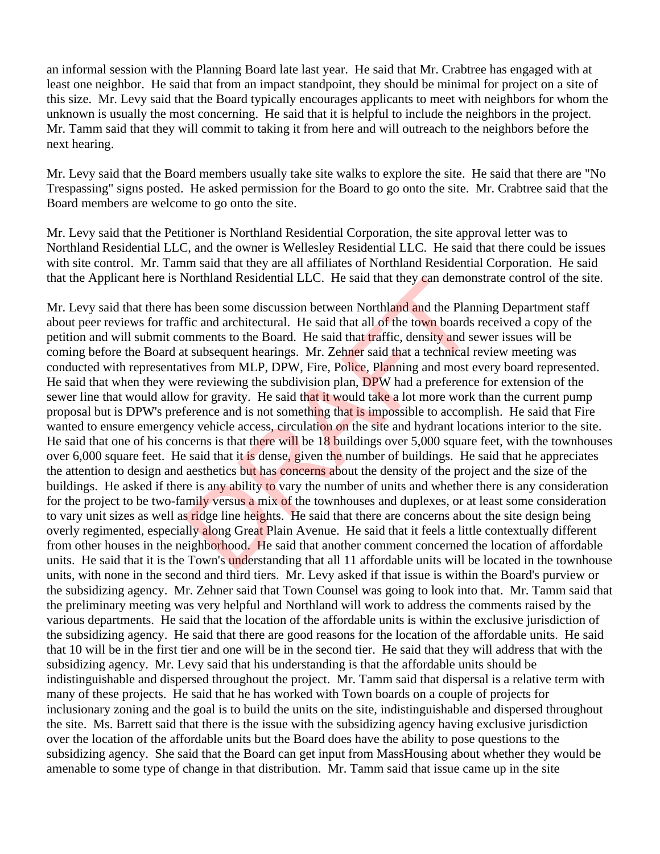an informal session with the Planning Board late last year. He said that Mr. Crabtree has engaged with at least one neighbor. He said that from an impact standpoint, they should be minimal for project on a site of this size. Mr. Levy said that the Board typically encourages applicants to meet with neighbors for whom the unknown is usually the most concerning. He said that it is helpful to include the neighbors in the project. Mr. Tamm said that they will commit to taking it from here and will outreach to the neighbors before the next hearing.

Mr. Levy said that the Board members usually take site walks to explore the site. He said that there are "No Trespassing" signs posted. He asked permission for the Board to go onto the site. Mr. Crabtree said that the Board members are welcome to go onto the site.

Mr. Levy said that the Petitioner is Northland Residential Corporation, the site approval letter was to Northland Residential LLC, and the owner is Wellesley Residential LLC. He said that there could be issues with site control. Mr. Tamm said that they are all affiliates of Northland Residential Corporation. He said that the Applicant here is Northland Residential LLC. He said that they can demonstrate control of the site.

Mr. Levy said that there has been some discussion between Northland and the Planning Department staff about peer reviews for traffic and architectural. He said that all of the town boards received a copy of the petition and will submit comments to the Board. He said that traffic, density and sewer issues will be coming before the Board at subsequent hearings. Mr. Zehner said that a technical review meeting was conducted with representatives from MLP, DPW, Fire, Police, Planning and most every board represented. He said that when they were reviewing the subdivision plan, DPW had a preference for extension of the sewer line that would allow for gravity. He said that it would take a lot more work than the current pump proposal but is DPW's preference and is not something that is impossible to accomplish. He said that Fire wanted to ensure emergency vehicle access, circulation on the site and hydrant locations interior to the site. He said that one of his concerns is that there will be 18 buildings over 5,000 square feet, with the townhouses over 6,000 square feet. He said that it is dense, given the number of buildings. He said that he appreciates the attention to design and aesthetics but has concerns about the density of the project and the size of the buildings. He asked if there is any ability to vary the number of units and whether there is any consideration for the project to be two-family versus a mix of the townhouses and duplexes, or at least some consideration to vary unit sizes as well as ridge line heights. He said that there are concerns about the site design being overly regimented, especially along Great Plain Avenue. He said that it feels a little contextually different from other houses in the neighborhood. He said that another comment concerned the location of affordable units. He said that it is the Town's understanding that all 11 affordable units will be located in the townhouse units, with none in the second and third tiers. Mr. Levy asked if that issue is within the Board's purview or the subsidizing agency. Mr. Zehner said that Town Counsel was going to look into that. Mr. Tamm said that the preliminary meeting was very helpful and Northland will work to address the comments raised by the various departments. He said that the location of the affordable units is within the exclusive jurisdiction of the subsidizing agency. He said that there are good reasons for the location of the affordable units. He said that 10 will be in the first tier and one will be in the second tier. He said that they will address that with the subsidizing agency. Mr. Levy said that his understanding is that the affordable units should be indistinguishable and dispersed throughout the project. Mr. Tamm said that dispersal is a relative term with many of these projects. He said that he has worked with Town boards on a couple of projects for inclusionary zoning and the goal is to build the units on the site, indistinguishable and dispersed throughout the site. Ms. Barrett said that there is the issue with the subsidizing agency having exclusive jurisdiction over the location of the affordable units but the Board does have the ability to pose questions to the subsidizing agency. She said that the Board can get input from MassHousing about whether they would be amenable to some type of change in that distribution. Mr. Tamm said that issue came up in the site Northland Residential LLC. He said that they can demon<br>si been some discussion between Northland and the Plan<br>fic and architectural. He said that all of the town boards<br>mments to the Board. He said that traffic, density an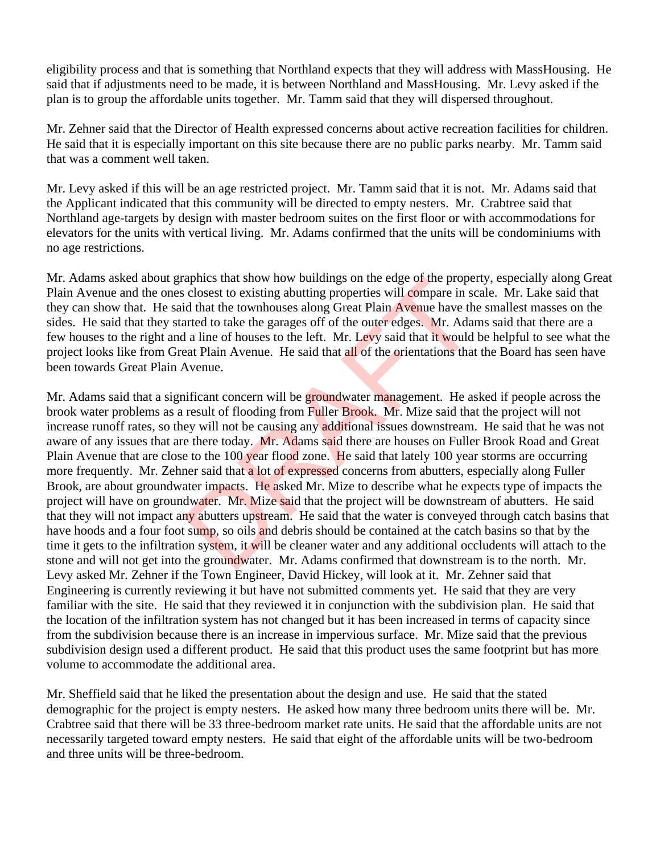eligibility process and that is something that Northland expects that they will address with MassHousing. He said that if adjustments need to be made, it is between Northland and MassHousing. Mr. Levy asked if the plan is to group the affordable units together. Mr. Tamm said that they will dispersed throughout.

Mr. Zehner said that the Director of Health expressed concerns about active recreation facilities for children. He said that it is especially important on this site because there are no public parks nearby. Mr. Tamm said that was a comment well taken.

Mr. Levy asked if this will be an age restricted project. Mr. Tamm said that it is not. Mr. Adams said that the Applicant indicated that this community will be directed to empty nesters. Mr. Crabtree said that Northland age-targets by design with master bedroom suites on the first floor or with accommodations for elevators for the units with vertical living. Mr. Adams confirmed that the units will be condominiums with no age restrictions.

Mr. Adams asked about graphics that show how buildings on the edge of the property, especially along Great Plain Avenue and the ones closest to existing abutting properties will compare in scale. Mr. Lake said that they can show that. He said that the townhouses along Great Plain Avenue have the smallest masses on the sides. He said that they started to take the garages off of the outer edges. Mr. Adams said that there are a few houses to the right and a line of houses to the left. Mr. Levy said that it would be helpful to see what the project looks like from Great Plain Avenue. He said that all of the orientations that the Board has seen have been towards Great Plain Avenue.

Mr. Adams said that a significant concern will be groundwater management. He asked if people across the brook water problems as a result of flooding from Fuller Brook. Mr. Mize said that the project will not increase runoff rates, so they will not be causing any additional issues downstream. He said that he was not aware of any issues that are there today. Mr. Adams said there are houses on Fuller Brook Road and Great Plain Avenue that are close to the 100 year flood zone. He said that lately 100 year storms are occurring more frequently. Mr. Zehner said that a lot of expressed concerns from abutters, especially along Fuller Brook, are about groundwater impacts. He asked Mr. Mize to describe what he expects type of impacts the project will have on groundwater. Mr. Mize said that the project will be downstream of abutters. He said that they will not impact any abutters upstream. He said that the water is conveyed through catch basins that have hoods and a four foot sump, so oils and debris should be contained at the catch basins so that by the time it gets to the infiltration system, it will be cleaner water and any additional occludents will attach to the stone and will not get into the groundwater. Mr. Adams confirmed that downstream is to the north. Mr. Levy asked Mr. Zehner if the Town Engineer, David Hickey, will look at it. Mr. Zehner said that Engineering is currently reviewing it but have not submitted comments yet. He said that they are very familiar with the site. He said that they reviewed it in conjunction with the subdivision plan. He said that the location of the infiltration system has not changed but it has been increased in terms of capacity since from the subdivision because there is an increase in impervious surface. Mr. Mize said that the previous subdivision design used a different product. He said that this product uses the same footprint but has more volume to accommodate the additional area. applies that show now bulldings on the edge of the proper<br>closest to existing abutting properties will compare in sc<br>d that the townhouses along Great Plain Avenue have the<br>arted to take the garages off of the outer edges.

Mr. Sheffield said that he liked the presentation about the design and use. He said that the stated demographic for the project is empty nesters. He asked how many three bedroom units there will be. Mr. Crabtree said that there will be 33 three-bedroom market rate units. He said that the affordable units are not necessarily targeted toward empty nesters. He said that eight of the affordable units will be two-bedroom and three units will be three-bedroom.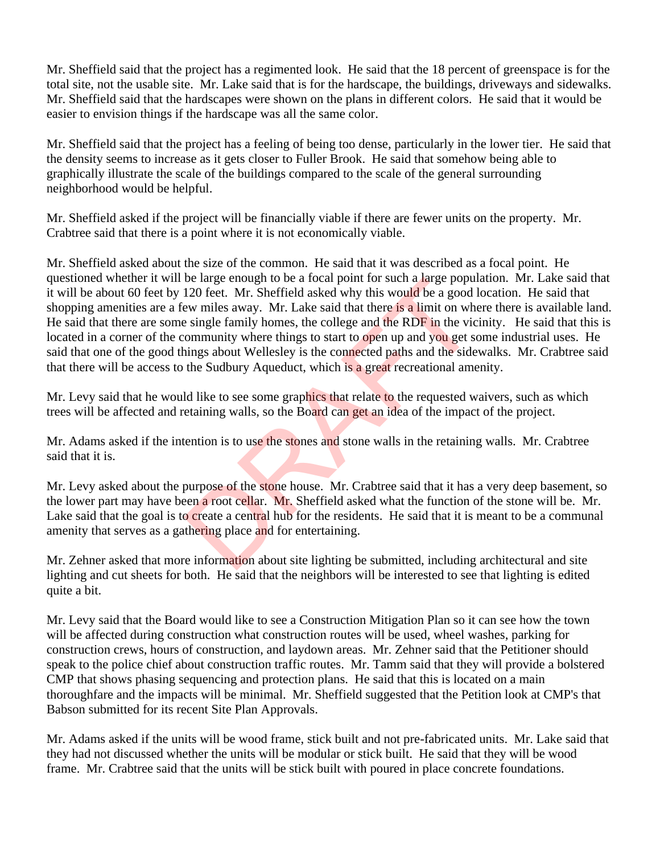Mr. Sheffield said that the project has a regimented look. He said that the 18 percent of greenspace is for the total site, not the usable site. Mr. Lake said that is for the hardscape, the buildings, driveways and sidewalks. Mr. Sheffield said that the hardscapes were shown on the plans in different colors. He said that it would be easier to envision things if the hardscape was all the same color.

Mr. Sheffield said that the project has a feeling of being too dense, particularly in the lower tier. He said that the density seems to increase as it gets closer to Fuller Brook. He said that somehow being able to graphically illustrate the scale of the buildings compared to the scale of the general surrounding neighborhood would be helpful.

Mr. Sheffield asked if the project will be financially viable if there are fewer units on the property. Mr. Crabtree said that there is a point where it is not economically viable.

Mr. Sheffield asked about the size of the common. He said that it was described as a focal point. He questioned whether it will be large enough to be a focal point for such a large population. Mr. Lake said that it will be about 60 feet by 120 feet. Mr. Sheffield asked why this would be a good location. He said that shopping amenities are a few miles away. Mr. Lake said that there is a limit on where there is available land. He said that there are some single family homes, the college and the RDF in the vicinity. He said that this is located in a corner of the community where things to start to open up and you get some industrial uses. He said that one of the good things about Wellesley is the connected paths and the sidewalks. Mr. Crabtree said that there will be access to the Sudbury Aqueduct, which is a great recreational amenity. be large enough to be a rocal point for such a large popular 120 feet. Mr. Sheffield asked why this would be a good ew miles away. Mr. Lake said that there is a limit on whe single family homes, the college and the RDF in

Mr. Levy said that he would like to see some graphics that relate to the requested waivers, such as which trees will be affected and retaining walls, so the Board can get an idea of the impact of the project.

Mr. Adams asked if the intention is to use the stones and stone walls in the retaining walls. Mr. Crabtree said that it is.

Mr. Levy asked about the purpose of the stone house. Mr. Crabtree said that it has a very deep basement, so the lower part may have been a root cellar. Mr. Sheffield asked what the function of the stone will be. Mr. Lake said that the goal is to create a central hub for the residents. He said that it is meant to be a communal amenity that serves as a gathering place and for entertaining.

Mr. Zehner asked that more information about site lighting be submitted, including architectural and site lighting and cut sheets for both. He said that the neighbors will be interested to see that lighting is edited quite a bit.

Mr. Levy said that the Board would like to see a Construction Mitigation Plan so it can see how the town will be affected during construction what construction routes will be used, wheel washes, parking for construction crews, hours of construction, and laydown areas. Mr. Zehner said that the Petitioner should speak to the police chief about construction traffic routes. Mr. Tamm said that they will provide a bolstered CMP that shows phasing sequencing and protection plans. He said that this is located on a main thoroughfare and the impacts will be minimal. Mr. Sheffield suggested that the Petition look at CMP's that Babson submitted for its recent Site Plan Approvals.

Mr. Adams asked if the units will be wood frame, stick built and not pre-fabricated units. Mr. Lake said that they had not discussed whether the units will be modular or stick built. He said that they will be wood frame. Mr. Crabtree said that the units will be stick built with poured in place concrete foundations.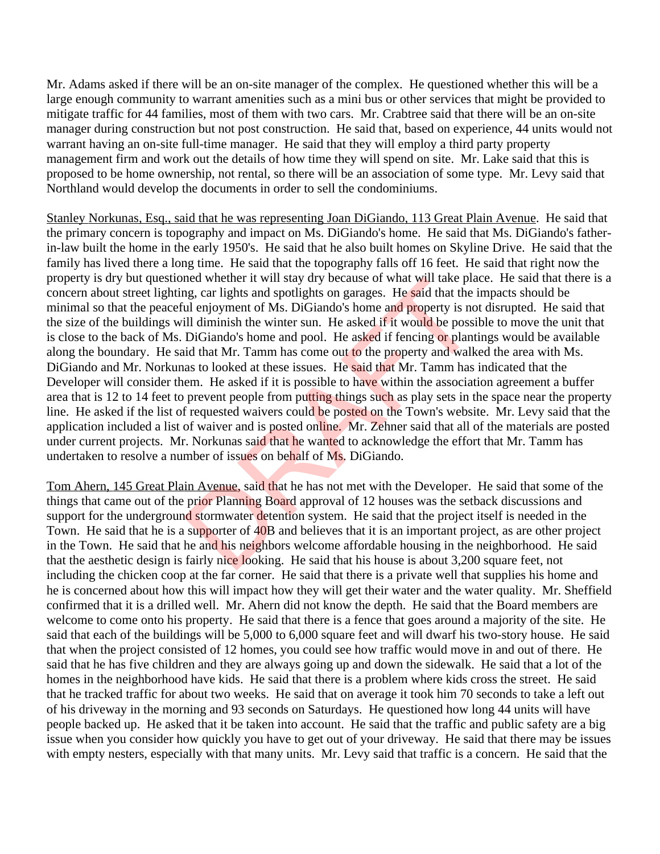Mr. Adams asked if there will be an on-site manager of the complex. He questioned whether this will be a large enough community to warrant amenities such as a mini bus or other services that might be provided to mitigate traffic for 44 families, most of them with two cars. Mr. Crabtree said that there will be an on-site manager during construction but not post construction. He said that, based on experience, 44 units would not warrant having an on-site full-time manager. He said that they will employ a third party property management firm and work out the details of how time they will spend on site. Mr. Lake said that this is proposed to be home ownership, not rental, so there will be an association of some type. Mr. Levy said that Northland would develop the documents in order to sell the condominiums.

Stanley Norkunas, Esq., said that he was representing Joan DiGiando, 113 Great Plain Avenue. He said that the primary concern is topography and impact on Ms. DiGiando's home. He said that Ms. DiGiando's fatherin-law built the home in the early 1950's. He said that he also built homes on Skyline Drive. He said that the family has lived there a long time. He said that the topography falls off 16 feet. He said that right now the property is dry but questioned whether it will stay dry because of what will take place. He said that there is a concern about street lighting, car lights and spotlights on garages. He said that the impacts should be minimal so that the peaceful enjoyment of Ms. DiGiando's home and property is not disrupted. He said that the size of the buildings will diminish the winter sun. He asked if it would be possible to move the unit that is close to the back of Ms. DiGiando's home and pool. He asked if fencing or plantings would be available along the boundary. He said that Mr. Tamm has come out to the property and walked the area with Ms. DiGiando and Mr. Norkunas to looked at these issues. He said that Mr. Tamm has indicated that the Developer will consider them. He asked if it is possible to have within the association agreement a buffer area that is 12 to 14 feet to prevent people from putting things such as play sets in the space near the property line. He asked if the list of requested waivers could be posted on the Town's website. Mr. Levy said that the application included a list of waiver and is posted online. Mr. Zehner said that all of the materials are posted under current projects. Mr. Norkunas said that he wanted to acknowledge the effort that Mr. Tamm has undertaken to resolve a number of issues on behalf of Ms. DiGiando. med whether it will stay dry because of what will take plang, car lights and spotlights on garages. He said that the ul enjoyment of Ms. DiGiando's home and property is no ill diminish the winter sun. He asked if it would

Tom Ahern, 145 Great Plain Avenue, said that he has not met with the Developer. He said that some of the things that came out of the prior Planning Board approval of 12 houses was the setback discussions and support for the underground stormwater detention system. He said that the project itself is needed in the Town. He said that he is a supporter of 40B and believes that it is an important project, as are other project in the Town. He said that he and his neighbors welcome affordable housing in the neighborhood. He said that the aesthetic design is fairly nice looking. He said that his house is about 3,200 square feet, not including the chicken coop at the far corner. He said that there is a private well that supplies his home and he is concerned about how this will impact how they will get their water and the water quality. Mr. Sheffield confirmed that it is a drilled well. Mr. Ahern did not know the depth. He said that the Board members are welcome to come onto his property. He said that there is a fence that goes around a majority of the site. He said that each of the buildings will be 5,000 to 6,000 square feet and will dwarf his two-story house. He said that when the project consisted of 12 homes, you could see how traffic would move in and out of there. He said that he has five children and they are always going up and down the sidewalk. He said that a lot of the homes in the neighborhood have kids. He said that there is a problem where kids cross the street. He said that he tracked traffic for about two weeks. He said that on average it took him 70 seconds to take a left out of his driveway in the morning and 93 seconds on Saturdays. He questioned how long 44 units will have people backed up. He asked that it be taken into account. He said that the traffic and public safety are a big issue when you consider how quickly you have to get out of your driveway. He said that there may be issues with empty nesters, especially with that many units. Mr. Levy said that traffic is a concern. He said that the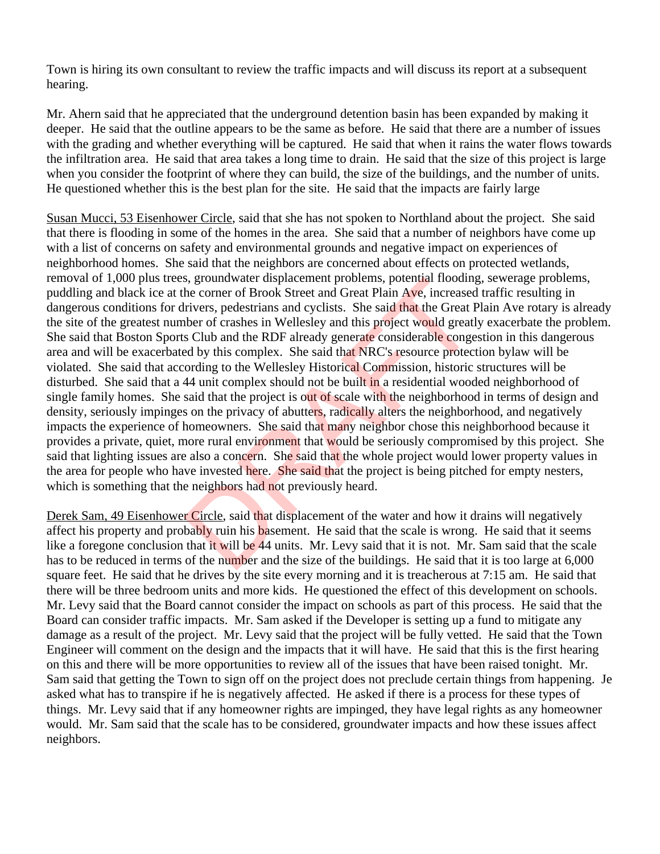Town is hiring its own consultant to review the traffic impacts and will discuss its report at a subsequent hearing.

Mr. Ahern said that he appreciated that the underground detention basin has been expanded by making it deeper. He said that the outline appears to be the same as before. He said that there are a number of issues with the grading and whether everything will be captured. He said that when it rains the water flows towards the infiltration area. He said that area takes a long time to drain. He said that the size of this project is large when you consider the footprint of where they can build, the size of the buildings, and the number of units. He questioned whether this is the best plan for the site. He said that the impacts are fairly large

Susan Mucci, 53 Eisenhower Circle, said that she has not spoken to Northland about the project. She said that there is flooding in some of the homes in the area. She said that a number of neighbors have come up with a list of concerns on safety and environmental grounds and negative impact on experiences of neighborhood homes. She said that the neighbors are concerned about effects on protected wetlands, removal of 1,000 plus trees, groundwater displacement problems, potential flooding, sewerage problems, puddling and black ice at the corner of Brook Street and Great Plain Ave, increased traffic resulting in dangerous conditions for drivers, pedestrians and cyclists. She said that the Great Plain Ave rotary is already the site of the greatest number of crashes in Wellesley and this project would greatly exacerbate the problem. She said that Boston Sports Club and the RDF already generate considerable congestion in this dangerous area and will be exacerbated by this complex. She said that NRC's resource protection bylaw will be violated. She said that according to the Wellesley Historical Commission, historic structures will be disturbed. She said that a 44 unit complex should not be built in a residential wooded neighborhood of single family homes. She said that the project is out of scale with the neighborhood in terms of design and density, seriously impinges on the privacy of abutters, radically alters the neighborhood, and negatively impacts the experience of homeowners. She said that many neighbor chose this neighborhood because it provides a private, quiet, more rural environment that would be seriously compromised by this project. She said that lighting issues are also a concern. She said that the whole project would lower property values in the area for people who have invested here. She said that the project is being pitched for empty nesters, which is something that the neighbors had not previously heard. s, groundwater displacement problems, potential flooding<br>he corner of Brook Street and Great Plain Ave, increased<br>rivers, pedestrians and cyclists. She said that the Great F<br>bber of crashes in Wellesley and this project wo

Derek Sam, 49 Eisenhower Circle, said that displacement of the water and how it drains will negatively affect his property and probably ruin his **basement.** He said that the scale is wrong. He said that it seems like a foregone conclusion that it will be 44 units. Mr. Levy said that it is not. Mr. Sam said that the scale has to be reduced in terms of the number and the size of the buildings. He said that it is too large at 6,000 square feet. He said that he drives by the site every morning and it is treacherous at 7:15 am. He said that there will be three bedroom units and more kids. He questioned the effect of this development on schools. Mr. Levy said that the Board cannot consider the impact on schools as part of this process. He said that the Board can consider traffic impacts. Mr. Sam asked if the Developer is setting up a fund to mitigate any damage as a result of the project. Mr. Levy said that the project will be fully vetted. He said that the Town Engineer will comment on the design and the impacts that it will have. He said that this is the first hearing on this and there will be more opportunities to review all of the issues that have been raised tonight. Mr. Sam said that getting the Town to sign off on the project does not preclude certain things from happening. Je asked what has to transpire if he is negatively affected. He asked if there is a process for these types of things. Mr. Levy said that if any homeowner rights are impinged, they have legal rights as any homeowner would. Mr. Sam said that the scale has to be considered, groundwater impacts and how these issues affect neighbors.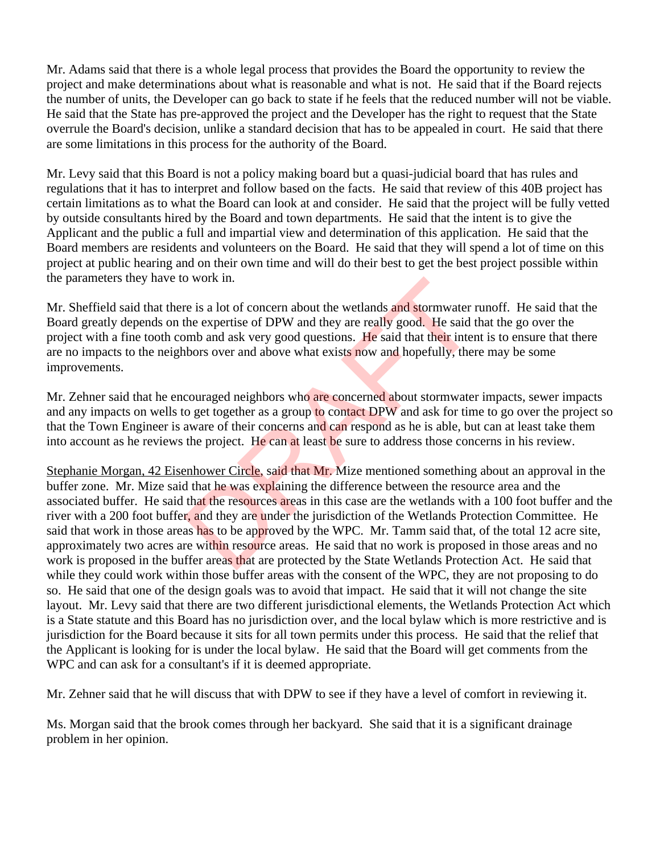Mr. Adams said that there is a whole legal process that provides the Board the opportunity to review the project and make determinations about what is reasonable and what is not. He said that if the Board rejects the number of units, the Developer can go back to state if he feels that the reduced number will not be viable. He said that the State has pre-approved the project and the Developer has the right to request that the State overrule the Board's decision, unlike a standard decision that has to be appealed in court. He said that there are some limitations in this process for the authority of the Board.

Mr. Levy said that this Board is not a policy making board but a quasi-judicial board that has rules and regulations that it has to interpret and follow based on the facts. He said that review of this 40B project has certain limitations as to what the Board can look at and consider. He said that the project will be fully vetted by outside consultants hired by the Board and town departments. He said that the intent is to give the Applicant and the public a full and impartial view and determination of this application. He said that the Board members are residents and volunteers on the Board. He said that they will spend a lot of time on this project at public hearing and on their own time and will do their best to get the best project possible within the parameters they have to work in.

Mr. Sheffield said that there is a lot of concern about the wetlands and stormwater runoff. He said that the Board greatly depends on the expertise of DPW and they are really good. He said that the go over the project with a fine tooth comb and ask very good questions. He said that their intent is to ensure that there are no impacts to the neighbors over and above what exists now and hopefully, there may be some improvements.

Mr. Zehner said that he encouraged neighbors who are concerned about stormwater impacts, sewer impacts and any impacts on wells to get together as a group to contact DPW and ask for time to go over the project so that the Town Engineer is aware of their concerns and can respond as he is able, but can at least take them into account as he reviews the project. He can at least be sure to address those concerns in his review.

Stephanie Morgan, 42 Eisenhower Circle, said that Mr. Mize mentioned something about an approval in the buffer zone. Mr. Mize said that he was explaining the difference between the resource area and the associated buffer. He said that the resources areas in this case are the wetlands with a 100 foot buffer and the river with a 200 foot buffer, and they are under the jurisdiction of the Wetlands Protection Committee. He said that work in those areas has to be approved by the WPC. Mr. Tamm said that, of the total 12 acre site, approximately two acres are within resource areas. He said that no work is proposed in those areas and no work is proposed in the buffer areas that are protected by the State Wetlands Protection Act. He said that while they could work within those buffer areas with the consent of the WPC, they are not proposing to do so. He said that one of the design goals was to avoid that impact. He said that it will not change the site layout. Mr. Levy said that there are two different jurisdictional elements, the Wetlands Protection Act which is a State statute and this Board has no jurisdiction over, and the local bylaw which is more restrictive and is jurisdiction for the Board because it sits for all town permits under this process. He said that the relief that the Applicant is looking for is under the local bylaw. He said that the Board will get comments from the WPC and can ask for a consultant's if it is deemed appropriate. The is a lot of concern about the wetlands and stormwater in<br>the expertise of DPW and they are really good. He said the<br>arm and ask very good questions. He said that their inter-<br>thors over and above what exists now and ho

Mr. Zehner said that he will discuss that with DPW to see if they have a level of comfort in reviewing it.

Ms. Morgan said that the brook comes through her backyard. She said that it is a significant drainage problem in her opinion.